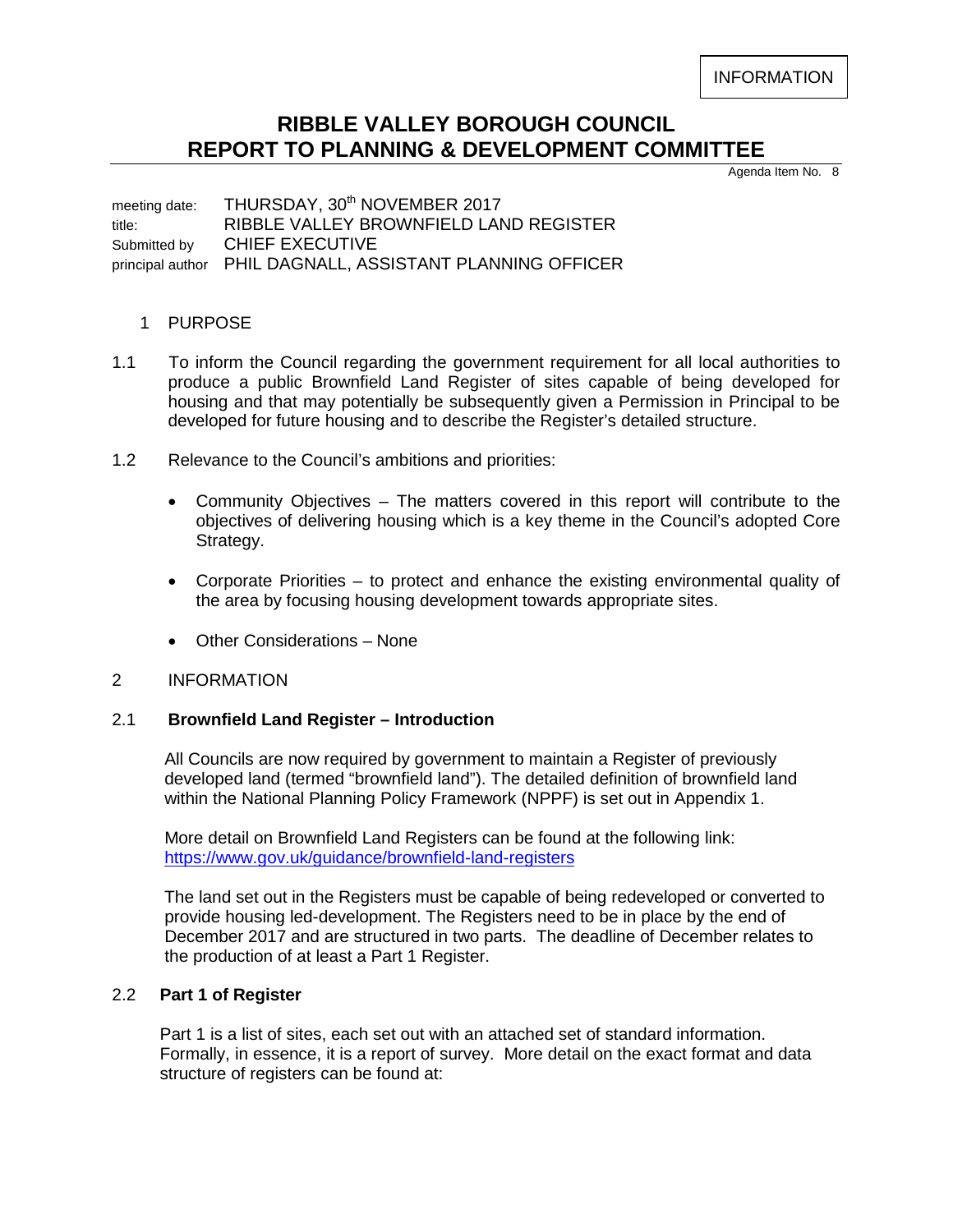INFORMATION

# **RIBBLE VALLEY BOROUGH COUNCIL REPORT TO PLANNING & DEVELOPMENT COMMITTEE**

Agenda Item No. 8

meeting date: THURSDAY, 30<sup>th</sup> NOVEMBER 2017 title: RIBBLE VALLEY BROWNFIELD LAND REGISTER Submitted by CHIEF EXECUTIVE principal author PHIL DAGNALL, ASSISTANT PLANNING OFFICER

## 1 PURPOSE

- 1.1 To inform the Council regarding the government requirement for all local authorities to produce a public Brownfield Land Register of sites capable of being developed for housing and that may potentially be subsequently given a Permission in Principal to be developed for future housing and to describe the Register's detailed structure.
- 1.2 Relevance to the Council's ambitions and priorities:
	- Community Objectives The matters covered in this report will contribute to the objectives of delivering housing which is a key theme in the Council's adopted Core Strategy.
	- Corporate Priorities to protect and enhance the existing environmental quality of the area by focusing housing development towards appropriate sites.
	- Other Considerations None

#### 2 INFORMATION

#### 2.1 **Brownfield Land Register – Introduction**

 All Councils are now required by government to maintain a Register of previously developed land (termed "brownfield land"). The detailed definition of brownfield land within the National Planning Policy Framework (NPPF) is set out in Appendix 1.

 More detail on Brownfield Land Registers can be found at the following link: <https://www.gov.uk/guidance/brownfield-land-registers>

 The land set out in the Registers must be capable of being redeveloped or converted to provide housing led-development. The Registers need to be in place by the end of December 2017 and are structured in two parts. The deadline of December relates to the production of at least a Part 1 Register.

#### 2.2 **Part 1 of Register**

 Part 1 is a list of sites, each set out with an attached set of standard information. Formally, in essence, it is a report of survey. More detail on the exact format and data structure of registers can be found at: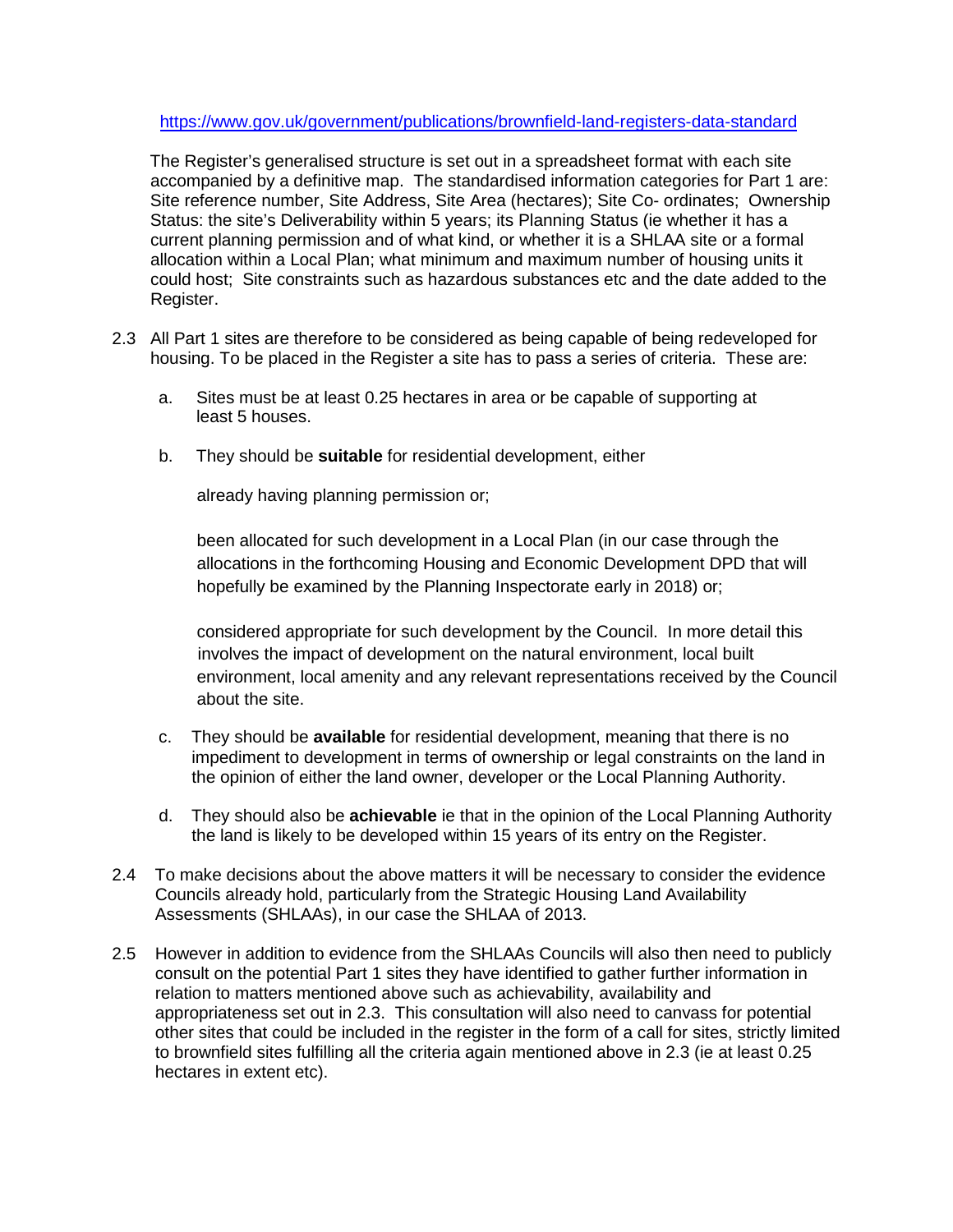<https://www.gov.uk/government/publications/brownfield-land-registers-data-standard>

 The Register's generalised structure is set out in a spreadsheet format with each site accompanied by a definitive map. The standardised information categories for Part 1 are: Site reference number, Site Address, Site Area (hectares); Site Co- ordinates; Ownership Status: the site's Deliverability within 5 years; its Planning Status (ie whether it has a current planning permission and of what kind, or whether it is a SHLAA site or a formal allocation within a Local Plan; what minimum and maximum number of housing units it could host; Site constraints such as hazardous substances etc and the date added to the Register.

- 2.3 All Part 1 sites are therefore to be considered as being capable of being redeveloped for housing. To be placed in the Register a site has to pass a series of criteria. These are:
	- a. Sites must be at least 0.25 hectares in area or be capable of supporting at least 5 houses.
	- b. They should be **suitable** for residential development, either

already having planning permission or;

 been allocated for such development in a Local Plan (in our case through the allocations in the forthcoming Housing and Economic Development DPD that will hopefully be examined by the Planning Inspectorate early in 2018) or;

 considered appropriate for such development by the Council. In more detail this involves the impact of development on the natural environment, local built environment, local amenity and any relevant representations received by the Council about the site.

- c. They should be **available** for residential development, meaning that there is no impediment to development in terms of ownership or legal constraints on the land in the opinion of either the land owner, developer or the Local Planning Authority.
- d. They should also be **achievable** ie that in the opinion of the Local Planning Authority the land is likely to be developed within 15 years of its entry on the Register.
- 2.4 To make decisions about the above matters it will be necessary to consider the evidence Councils already hold, particularly from the Strategic Housing Land Availability Assessments (SHLAAs), in our case the SHLAA of 2013.
- 2.5 However in addition to evidence from the SHLAAs Councils will also then need to publicly consult on the potential Part 1 sites they have identified to gather further information in relation to matters mentioned above such as achievability, availability and appropriateness set out in 2.3. This consultation will also need to canvass for potential other sites that could be included in the register in the form of a call for sites, strictly limited to brownfield sites fulfilling all the criteria again mentioned above in 2.3 (ie at least 0.25 hectares in extent etc).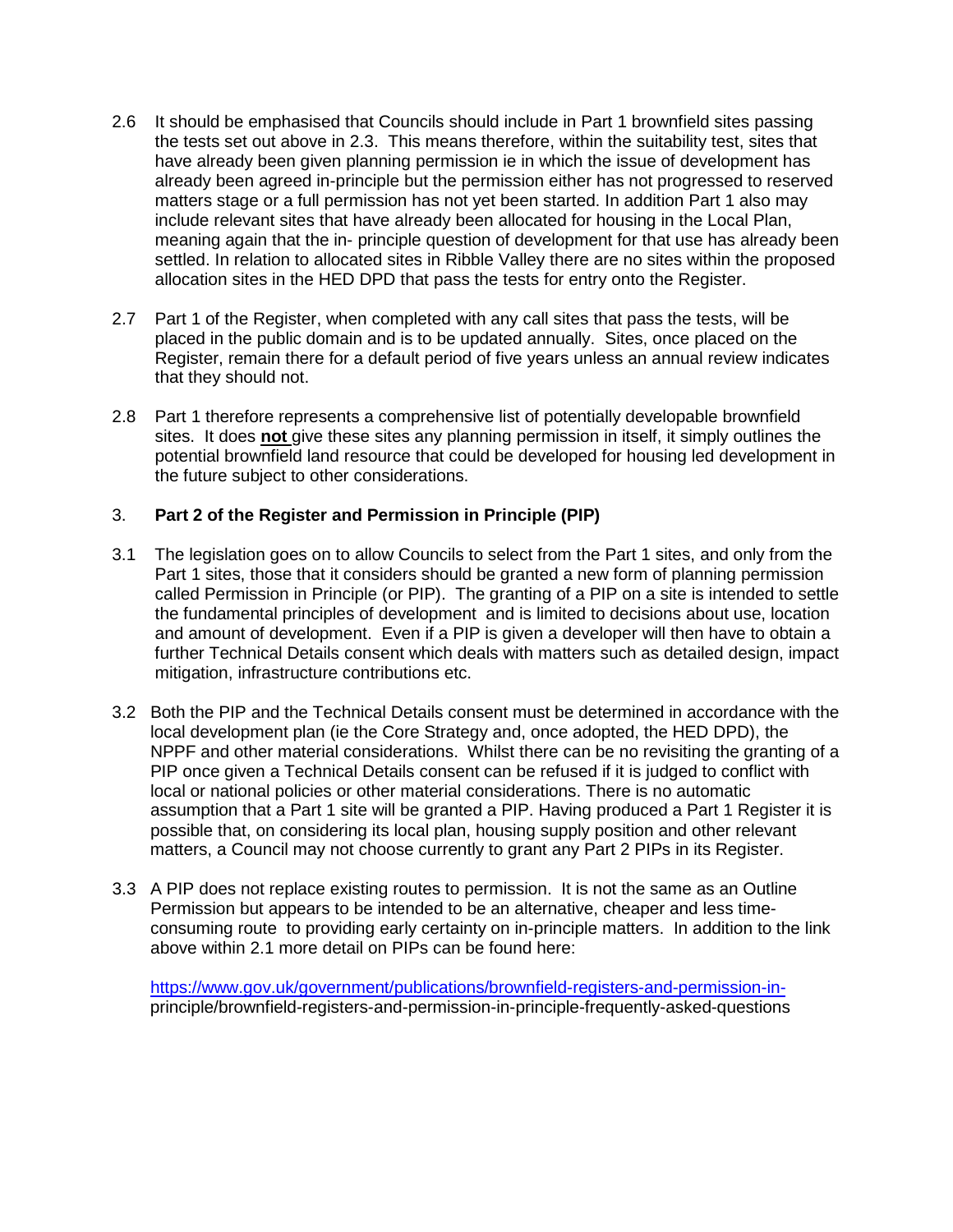- 2.6 It should be emphasised that Councils should include in Part 1 brownfield sites passing the tests set out above in 2.3. This means therefore, within the suitability test, sites that have already been given planning permission ie in which the issue of development has already been agreed in-principle but the permission either has not progressed to reserved matters stage or a full permission has not yet been started. In addition Part 1 also may include relevant sites that have already been allocated for housing in the Local Plan, meaning again that the in- principle question of development for that use has already been settled. In relation to allocated sites in Ribble Valley there are no sites within the proposed allocation sites in the HED DPD that pass the tests for entry onto the Register.
- 2.7 Part 1 of the Register, when completed with any call sites that pass the tests, will be placed in the public domain and is to be updated annually. Sites, once placed on the Register, remain there for a default period of five years unless an annual review indicates that they should not.
- 2.8 Part 1 therefore represents a comprehensive list of potentially developable brownfield sites. It does **not** give these sites any planning permission in itself, it simply outlines the potential brownfield land resource that could be developed for housing led development in the future subject to other considerations.

## 3. **Part 2 of the Register and Permission in Principle (PIP)**

- 3.1 The legislation goes on to allow Councils to select from the Part 1 sites, and only from the Part 1 sites, those that it considers should be granted a new form of planning permission called Permission in Principle (or PIP). The granting of a PIP on a site is intended to settle the fundamental principles of development and is limited to decisions about use, location and amount of development. Even if a PIP is given a developer will then have to obtain a further Technical Details consent which deals with matters such as detailed design, impact mitigation, infrastructure contributions etc.
- 3.2 Both the PIP and the Technical Details consent must be determined in accordance with the local development plan (ie the Core Strategy and, once adopted, the HED DPD), the NPPF and other material considerations. Whilst there can be no revisiting the granting of a PIP once given a Technical Details consent can be refused if it is judged to conflict with local or national policies or other material considerations. There is no automatic assumption that a Part 1 site will be granted a PIP. Having produced a Part 1 Register it is possible that, on considering its local plan, housing supply position and other relevant matters, a Council may not choose currently to grant any Part 2 PIPs in its Register.
- 3.3 A PIP does not replace existing routes to permission. It is not the same as an Outline Permission but appears to be intended to be an alternative, cheaper and less time consuming route to providing early certainty on in-principle matters. In addition to the link above within 2.1 more detail on PIPs can be found here:

 [https://www.gov.uk/government/publications/brownfield-registers-and-permission-in](https://www.gov.uk/government/publications/brownfield-registers-and-permission-in-) principle/brownfield-registers-and-permission-in-principle-frequently-asked-questions